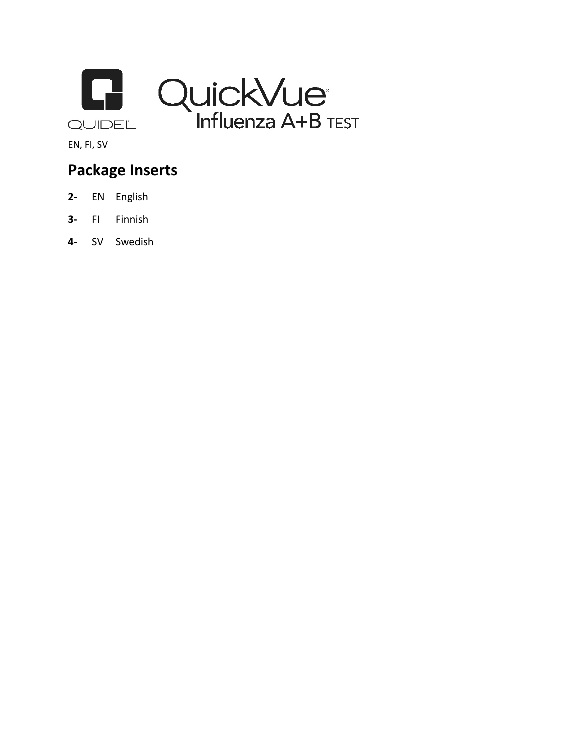



EN, FI, SV

# **Package Inserts**

- **2-** EN English
- **3-** FI Finnish
- **4-** SV Swedish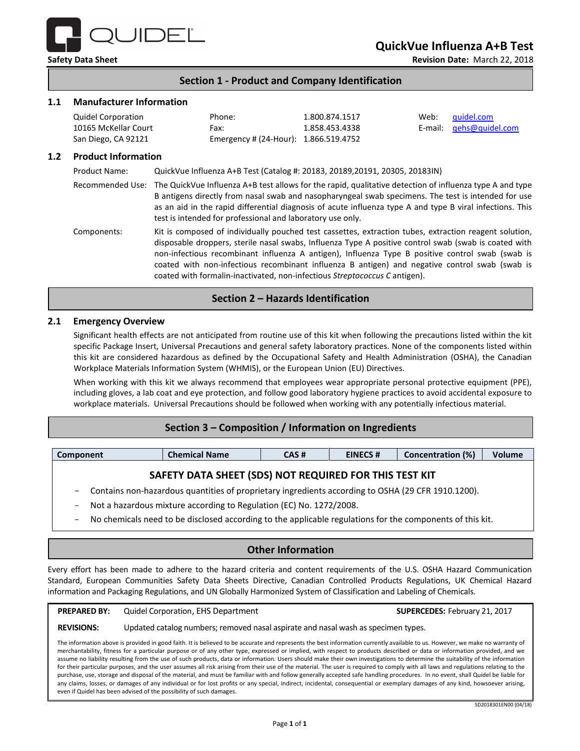

**Safety Data Sheet Revision Date:** March 22, 2018

# **Section 1 - Product and Company Identification**

### **1.1 Manufacturer Information**

| Quidel Corporation   | Phone:                                | 1.800.874.1517 | Web: quidel.com         |
|----------------------|---------------------------------------|----------------|-------------------------|
| 10165 McKellar Court | Fax:                                  | 1.858.453.4338 | E-mail: gehs@quidel.com |
| San Diego, CA 92121  | Emergency # (24-Hour): 1.866.519.4752 |                |                         |

#### **1.2 Product Information**

Product Name: QuickVue Influenza A+B Test (Catalog #: 20183, 20189,20191, 20305, 20183IN)

Recommended Use: The QuickVue Influenza A+B test allows for the rapid, qualitative detection of influenza type A and type B antigens directly from nasal swab and nasopharyngeal swab specimens. The test is intended for use as an aid in the rapid differential diagnosis of acute influenza type A and type B viral infections. This test is intended for professional and laboratory use only.

Components: Kit is composed of individually pouched test cassettes, extraction tubes, extraction reagent solution, disposable droppers, sterile nasal swabs, Influenza Type A positive control swab (swab is coated with non-infectious recombinant influenza A antigen), Influenza Type B positive control swab (swab is coated with non-infectious recombinant influenza B antigen) and negative control swab (swab is coated with formalin-inactivated, non-infectious *Streptococcus C* antigen).

# **Section 2 – Hazards Identification**

#### **2.1 Emergency Overview**

Significant health effects are not anticipated from routine use of this kit when following the precautions listed within the kit specific Package Insert, Universal Precautions and general safety laboratory practices. None of the components listed within this kit are considered hazardous as defined by the Occupational Safety and Health Administration (OSHA), the Canadian Workplace Materials Information System (WHMIS), or the European Union (EU) Directives.

When working with this kit we always recommend that employees wear appropriate personal protective equipment (PPE), including gloves, a lab coat and eye protection, and follow good laboratory hygiene practices to avoid accidental exposure to workplace materials. Universal Precautions should be followed when working with any potentially infectious material.

# **Section 3 – Composition / Information on Ingredients**

| Component                                               | <b>Chemical Name</b> | CAS # | <b>EINECS#</b> | <b>Concentration (%)</b> | Volume |  |  |
|---------------------------------------------------------|----------------------|-------|----------------|--------------------------|--------|--|--|
| CAFETY BATA CUEFT (CBC) NOT BEQUIRED FOR TUIC TECT 1/17 |                      |       |                |                          |        |  |  |

# **SAFETY DATA SHEET (SDS) NOT REQUIRED FOR THIS TEST KIT**

- Contains non-hazardous quantities of proprietary ingredients according to OSHA (29 CFR 1910.1200).
- Not a hazardous mixture according to Regulation (EC) No. 1272/2008.
- No chemicals need to be disclosed according to the applicable regulations for the components of this kit.

# **Other Information**

Every effort has been made to adhere to the hazard criteria and content requirements of the U.S. OSHA Hazard Communication Standard, European Communities Safety Data Sheets Directive, Canadian Controlled Products Regulations, UK Chemical Hazard information and Packaging Regulations, and UN Globally Harmonized System of Classification and Labeling of Chemicals.

# **PREPARED BY:** Quidel Corporation, EHS Department **SUPERCEDES:** February 21, 2017

#### **REVISIONS:** Updated catalog numbers; removed nasal aspirate and nasal wash as specimen types.

The information above is provided in good faith. It is believed to be accurate and represents the best information currently available to us. However, we make no warranty of merchantability, fitness for a particular purpose or of any other type, expressed or implied, with respect to products described or data or information provided, and we assume no liability resulting from the use of such products, data or information. Users should make their own investigations to determine the suitability of the information for their particular purposes, and the user assumes all risk arising from their use of the material. The user is required to comply with all laws and regulations relating to the purchase, use, storage and disposal of the material, and must be familiar with and follow generally accepted safe handling procedures. In no event, shall Quidel be liable for any claims, losses, or damages of any individual or for lost profits or any special, indirect, incidental, consequential or exemplary damages of any kind, howsoever arising, even if Quidel has been advised of the possibility of such damages.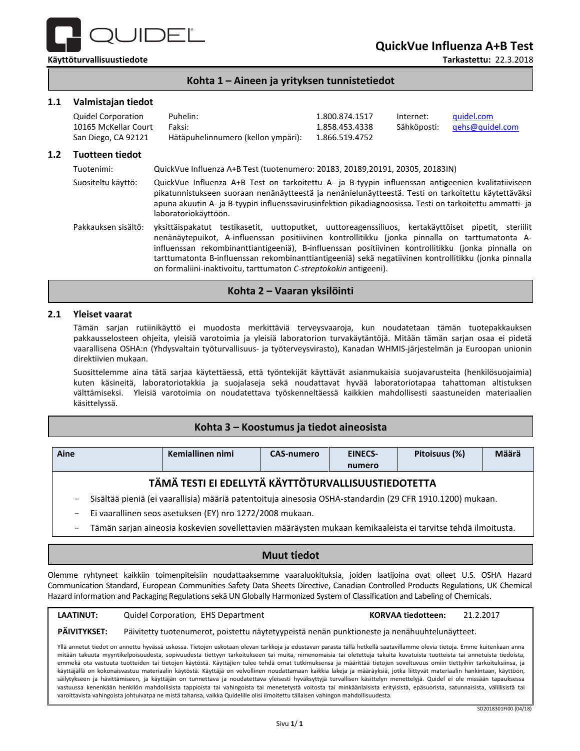

**QuickVue Influenza A+B Test**

**Kohta 1 – Aineen ja yrityksen tunnistetiedot**

#### **1.1 Valmistajan tiedot**

| Quidel Corporation   | Puhelin:                           | 1.800.874.1517 | Internet: | quidel.com                  |
|----------------------|------------------------------------|----------------|-----------|-----------------------------|
| 10165 McKellar Court | Faksi:                             | 1.858.453.4338 |           | Sähköposti: gehs@guidel.com |
| San Diego, CA 92121  | Hätäpuhelinnumero (kellon ympäri): | 1.866.519.4752 |           |                             |

#### **1.2 Tuotteen tiedot**

Tuotenimi: QuickVue Influenza A+B Test (tuotenumero: 20183, 20189,20191, 20305, 20183IN) Suositeltu käyttö: QuickVue Influenza A+B Test on tarkoitettu A- ja B-tyypin influenssan antigeenien kvalitatiiviseen pikatunnistukseen suoraan nenänäytteestä ja nenänielunäytteestä. Testi on tarkoitettu käytettäväksi apuna akuutin A- ja B-tyypin influenssavirusinfektion pikadiagnoosissa. Testi on tarkoitettu ammatti- ja laboratoriokäyttöön. Pakkauksen sisältö: yksittäispakatut testikasetit, uuttoputket, uuttoreagenssiliuos, kertakäyttöiset pipetit, steriilit nenänäytepuikot, A-influenssan positiivinen kontrollitikku (jonka pinnalla on tarttumatonta Ainfluenssan rekombinanttiantigeeniä), B-influenssan positiivinen kontrollitikku (jonka pinnalla on tarttumatonta B-influenssan rekombinanttiantigeeniä) sekä negatiivinen kontrollitikku (jonka pinnalla on formaliini-inaktivoitu, tarttumaton *C-streptokokin* antigeeni).

# **Kohta 2 – Vaaran yksilöinti**

#### **2.1 Yleiset vaarat**

Tämän sarjan rutiinikäyttö ei muodosta merkittäviä terveysvaaroja, kun noudatetaan tämän tuotepakkauksen pakkausselosteen ohjeita, yleisiä varotoimia ja yleisiä laboratorion turvakäytäntöjä. Mitään tämän sarjan osaa ei pidetä vaarallisena OSHA:n (Yhdysvaltain työturvallisuus- ja työterveysvirasto), Kanadan WHMIS-järjestelmän ja Euroopan unionin direktiivien mukaan.

Suosittelemme aina tätä sarjaa käytettäessä, että työntekijät käyttävät asianmukaisia suojavarusteita (henkilösuojaimia) kuten käsineitä, laboratoriotakkia ja suojalaseja sekä noudattavat hyvää laboratoriotapaa tahattoman altistuksen välttämiseksi. Yleisiä varotoimia on noudatettava työskenneltäessä kaikkien mahdollisesti saastuneiden materiaalien käsittelyssä.

# **Kohta 3 – Koostumus ja tiedot aineosista**

| Aine                                                                                                      | Kemiallinen nimi | <b>CAS-numero</b> | <b>EINECS-</b> | Pitoisuus (%) | Määrä |  |
|-----------------------------------------------------------------------------------------------------------|------------------|-------------------|----------------|---------------|-------|--|
|                                                                                                           |                  |                   | numero         |               |       |  |
| TÄMÄ TESTI EI EDELLYTÄ KÄYTTÖTURVALLISUUSTIEDOTETTA                                                       |                  |                   |                |               |       |  |
| Sisältää pieniä (ei vaarallisia) määriä patentoituja ainesosia OSHA-standardin (29 CFR 1910.1200) mukaan. |                  |                   |                |               |       |  |
| Ei vaarallinen seos asetuksen (EY) nro 1272/2008 mukaan.                                                  |                  |                   |                |               |       |  |

- Tämän sarjan aineosia koskevien sovellettavien määräysten mukaan kemikaaleista ei tarvitse tehdä ilmoitusta.

# **Muut tiedot**

Olemme ryhtyneet kaikkiin toimenpiteisiin noudattaaksemme vaaraluokituksia, joiden laatijoina ovat olleet U.S. OSHA Hazard Communication Standard, European Communities Safety Data Sheets Directive, Canadian Controlled Products Regulations, UK Chemical Hazard information and Packaging Regulations sekä UN Globally Harmonized System of Classification and Labeling of Chemicals.

#### **LAATINUT:** Quidel Corporation, EHS Department **KORVAA tiedotteen:** 21.2.2017

#### **PÄIVITYKSET:** Päivitetty tuotenumerot, poistettu näytetyypeistä nenän punktioneste ja nenähuuhtelunäytteet.

Yllä annetut tiedot on annettu hyvässä uskossa. Tietojen uskotaan olevan tarkkoja ja edustavan parasta tällä hetkellä saatavillamme olevia tietoja. Emme kuitenkaan anna mitään takuuta myyntikelpoisuudesta, sopivuudesta tiettyyn tarkoitukseen tai muita, nimenomaisia tai oletettuja takuita kuvatuista tuotteista tai annetuista tiedoista, emmekä ota vastuuta tuotteiden tai tietojen käytöstä. Käyttäjien tulee tehdä omat tutkimuksensa ja määrittää tietojen soveltuvuus omiin tiettyihin tarkoituksiinsa, ja käyttäjällä on kokonaisvastuu materiaalin käytöstä. Käyttäjä on velvollinen noudattamaan kaikkia lakeja ja määräyksiä, jotka liittyvät materiaalin hankintaan, käyttöön, säilytykseen ja hävittämiseen, ja käyttäjän on tunnettava ja noudatettava yleisesti hyväksyttyjä turvallisen käsittelyn menettelyjä. Quidel ei ole missään tapauksessa vastuussa kenenkään henkilön mahdollisista tappioista tai vahingoista tai menetetystä voitosta tai minkäänlaisista erityisistä, epäsuorista, satunnaisista, välillisistä tai varoittavista vahingoista johtuivatpa ne mistä tahansa, vaikka Quidelille olisi ilmoitettu tällaisen vahingon mahdollisuudesta.